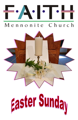

# Mennonite Church



# Faster Sunday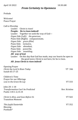### *From Certainty to Openness*

### Prelude

### Welcome! Peace Prayer

Call to Worship

Leader: Christ is risen! **People: He is risen indeed!** Leader: Together we seek the way of God— *Organ Side (Left): the generous,* Piano Side (Right): compassionate, *Organ Side: grace-filled,* Piano Side: inclusive, *Organ Side: abundant,* Piano Side: powerful, *Organ Side: unsettling, All: way of God.* Leader: On this day that God has made, may our hearts be open to the good news: Christ is not here, for he is risen. *All: Jesus Christ is risen indeed!*

| <b>Opening Prayer</b><br>Christ the Lord Is Risen Today<br>Isaiah 65:17-25 | VT 346        |
|----------------------------------------------------------------------------|---------------|
| Children's Time                                                            |               |
| Prayer for our Offerings<br>Low in the Grave He Lay                        | VT 333        |
| John 20: 1-18<br>Transformation Can't be Predicted<br>Psalm 118:1-2,14-24  | Rev. Kristine |
| Christ Is Alive, and Goes Before Us<br><b>Transition Moment</b>            | VT 565        |
| This Joyful Eastertide<br><b>Blessing</b><br>Postlude*                     | VT 352        |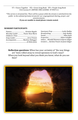VT = Voices Together STJ = Green Song Book STS = Purple Song Book CCLI License #: 2009481 ONE LICENSE #739073-A

\**This service is streamed live. There will be a pause while the stream is switched from the public to the unlisted (private) stream for our congregational sharing, prayer, and announcements.* 

**If you are unable to stand please remain seated.**

### **WORSHIP PARTICIPANTS**

| Worship Leader  Pastor Rose Marie |
|-----------------------------------|
|                                   |
|                                   |
| Accompanists Marlene Habegger     |
|                                   |

| Sanctuary Prep Leslie Hadley           |  |
|----------------------------------------|--|
| Broadcasting Jody Hadley               |  |
|                                        |  |
|                                        |  |
| Ushers  Wendell Banman & Byron Ediger  |  |
| Greeters Darlene Powers & Janet Ediger |  |
|                                        |  |

**Reflection questions:** When has your certainty of "the way things are" been rolled away to reveal openness to God's ways? When you look beyond what you think you know, what do you see then?

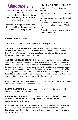| <b>Welcome</b> to Faith                                                                                       | <b>OUR MISSION STATEMENT</b><br>As followers of Jesus Christ, our                                                                                                   |
|---------------------------------------------------------------------------------------------------------------|---------------------------------------------------------------------------------------------------------------------------------------------------------------------|
| Mennonite Church. We are glad you<br>are here.                                                                | mission is to<br>- Worship together as a community of                                                                                                               |
| If you need a listening assistance<br>device or a large print bulletin,<br>please ask an usher.               | faith,<br>- Invite everyone to share the gift of                                                                                                                    |
| There are a few *quiet* craft items on<br>the back table of the sanctuary that<br>can be used during worship. | God's love,<br>- Nurture each other in the faith,<br>- Serve others in the spirit of Christ,<br>land<br>- Proclaim His way of peace, justice<br>and reconciliation. |

### *FAITH FAMILY NEWS*

**THE CHURCH OFFICE** will be closed on Monday April 18, 2022.

**THE NEXT CONGREGATIONAL MEETING** will be held on April 24, 2022 after the youth fundraiser meal. There will be updates from Council, Treasure's Report, Pastor's Report, Transition Update and an estimated timeline for forming a settled pastors search committee.

**A YOUTH FUNDRAISER MEAL** will be served on April 24th after worship and before the congregational meeting! The main dish will be sloppy joes and/or macaroni and cheese. We will provide a few marked tables for single family use for those who wish to social distance during the meal time as a precautionary measure. Hallelujah for a return to sharing meals together! The youth will be accepting donations for a summer service trip. **Please write your check to Faith Mennonite Youth Group.** In addition, we will be supporting Ronni Horn and their family by collecting gift cards for food and gas.

**DONATIONS** for Ronni Horn and their family can be written to Faith Mennonite Church with Ronni Horn in the memo line.

**PASTOR ROSE MARIE** reminds you that she will be holding drop-in office hours from 1:00– 3:30 PM on Wednesdays.

**BOARD & COUNCIL MINUTES** from April are posted on the bulletin boards by the stairs to the old education wing. The minutes can also be found in a black binder on a shelf in the library.

**CAREGIVER SUPPORT GROUP** meets April 25 at 4:00 PM in the Fellowship Hall. Come to learn from others and share what you have found helpful. Participants have found the group an insightful respite. Hosting this event will be Pastor Rose Marie.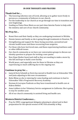### **IN OUR THOUGHTS AND PRAYERS**

### **Thank God for….**

- The lowering infection rate of Covid, allowing us to gather more freely in person as a community of believers in our church.
- For the leadership in our church as we go through our time in transition and new beginnings
- Sending us Pastor Rose Marie as our part-time Interim Pastor to help with the ministry and care of our church community.

### **We Pray for…**

- Ronni Horn and their family as they are undergoing treatment in Wichita.
- Hennie Janzen and family as she is going through treatments in Houston, TX.
- Strengthening and support for those facing uncertain, unresolved and chronic health issues and those recovering from surgeries.
- For those who have lost loved ones, and those experiencing loneliness and/ or other difficult issues.
- Our church community as we have our conversation groups to discuss our identity question to prepare for inviting a new pastor.
- New Hope Shelter board and staff as they are needing to make a move by this fall and hope to build a new facility
- World peace, and especially now for those in Ukraine as they are experiencing so much suffering due to the ongoing war.

### **Continue to pray for….**

- Junia & Doris Schmidt as Doris has moved to Health Care at Schowalter Villa and Junia adjusting to this new circumstance.
- Bette Rhine as she is rejoicing for some healing and continues to heal in Schowalter Villa's Progressive Recovery Academy.
- Norman & Lorrayne Pankratz as they have transitioned to health care at Kidron Bethel.
- Anna Lubbers in her Voluntary Service assignment in California. She is going to stay for another year.
- All of our church community in assisted living and health care.

### **Western District Conference…**

• Pray for WDC congregational delegates planning to attend and in their preparation for the special session of MC USA assembly in May.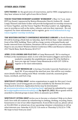### *OTHER AREA ITEMS*

**GIVE THANKS** for the good news of resurrection, and for WDC congregations as they bear witness to God's gift of new life in Christ!

**VOICES TOGETHER WORSHIP LEADERS' WORKSHOP |** May 14, 9 a.m.-noon EDT (on Zoom) | sponsored by Benton Mennonite Church, Goshen IN – Anneli Loepp Thiessen and Katie Graber will provide background on worship resources in Voices Together, and the Voices Together Worship Leaders' ed., highlighting uses in worship as well as the styles, cultures, and eras they represent. . No cost required. For more information, and to register, go to www.bentonchurch.org/ voices-together-worship-workshop

**THE WESTERN DISTRICT CONFERENCE RESOURCE LIBRARY** in North Newton, KS will be hosting a Book Sale on Saturday, April 30 from 8am- 12pm outside in front of the WDC building. There will be a large variety of donated books and books removed from circulation. Donations will be accepted for your selections. Hope to see you there! Western District Conference Office and Resource Library: 2517 North Main, North Newton, KS 67117

**APRIL 23 IS A WORK AND PLAY DAY** at Camp Mennoscah! We're starting at 8:30am at the maintenance shed. A crew with dirt haulers/diggers and trucks is



needed to complete the amphitheater project. We'd be thrilled to have you sign up! Contact Camp Mennoscah at 620-297-3290 to register or for more information.

**CAMP MENNOSCAH** is having a Verenike Casserole Fundraiser on April 30! If you enjoyed the meal last year, this will be very similar--

more details will be coming soon! Meal: verenike casserole, seasoned green beans, zweiback, and fruit crisp.

**NEWTON ET CETERA SHOP** invites organizations to apply for this year's Local Giving Grants. Local Giving grants are made available by the Newton Et Cetera Shop board of directors. Application forms may be downloaded at [newtonetceterashop.com/local](http://newtonetceterashop.com/local-giving-fund/)-giving-fund/ and must be submitted by e-mail to [localgiving@newtonetceterashop.com](mailto:localgiving@newtonetceterashop.com) **by April 25, 2022**. Micro-grants will be awarded to selected groups in June 2022, in amounts up to \$500.

**NEWTON ET CETERA SHOP** invites you to become a volunteer! Help us to share God's love with all creation by volunteering in clothing, clerking, recycling, linens, housewares or one of our other departments. If you'd like to join us, please call us at 316.283.9461 or attend one of our upcoming volunteer orientations to tell us what interests you: Saturday 4/23/22 11A-noon or Thursday 5/19/22 6-7 PM. We hope to hear from you soon!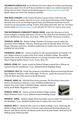**CELEBRATE EARTH DAY** at the Newton Et Cetera Shop! On Friday and Saturday afternoons, April 22 & 23, we'll have activities to reduce our carbon footprints by fixing what we have! Check our facebook page ([facebook.com/newtonetc\)](http://facebook.com/newtonetc) for details about our Earth Day weekend schedule.

**THE NEXT CONCERT** of the Prairie Window Concert Series, with [Over the](http://dyckarboretum.org/arboretum-event/over-the-rhine)  [Rhine,](http://dyckarboretum.org/arboretum-event/over-the-rhine) will be on Sunday, April 24 at 4 p.m. at the Dyck Arboretum of the Plains in Hesston. Join us for an evening of great music and delicious food from Crust & Crumb in a prairie garden setting. Tickets: \$25 adults/\$15 kids, plus tax. Purchase [tickets online](http://dyckarboretum.square.site/upcoming-events) at [dyckarboretum.org](http://dyckarboretum.org/) or call 620-327-[8127](tel:620-327-8127) to reserve your seats.

**THE MCPHERSON COMMUNITY BRASS CHOIR** under the Direction of Jerry Toews will give a Sunday afternoon Concert in The Church of the Brethren, 201 N. Carrie, McPherson, KS on Apr. 24 at 4pm. FREE and FUN. Everyone is invited.

**TUESDAY, APRIL 19 –** Bethel College Chamber Orchestra concert under the direction of Kris Hilding, 7:30 p.m**.**, featuring works by Bartok, Bizet, Du Prez, Borge, Telemann and more; *Krehbiel Auditorium in Luyken Fine Arts Center (NOTE CHANGE OF LOCATION).*

**THURSDAY, APRIL 21 –** Artist reception for the annual Student Art Exhibit, 6-8 p.m., Regier Gallery in Luyken Fine Arts Center at Bethel College. The exhibit features the work of 56 Bethel students, in a variety of media, and runs through May 6. Regular gallery hours: 9 a.m.-4 p.m., Mon.-Fri.

**FRIDAY, APRIL 22 –** Junior recital by Bethel College student Bryce Wilson on soprano and alto saxophone, 7 p.m., Administration Building chapel

**SATURDAY, MAY 23–** Earth Day program at Kauffman Museum featuring falconer Nate Mathews, Wichita, with a bald eagle, 10:30 a.m**.**, inside the museum (corner of North Main and 27th streets in North Newton)

**SUNDAY, APRIL 24 –** KIPCOR Film Series presents *The Revolution Generation*  (before its theatrical release!), 2 p.m., Krehbiel Auditorium in Luyken Fine Arts Center at Bethel College; audience talkback led by Jacob Miller-Klugesherz to follow.

**SUNDAY, APRIL 24 –** Senior recital by Bethel College student Kayla Newman, brass, 4 p.m., Administration Building chapel



**MONDAY, APRIL –** Bethel College Wind Ensemble concert under the direction of Joel Boettger, 7 p.m., Krehbiel Auditorium in Luyken Fine Arts Center

**SUNDAY, MAY 1 –** Masterworks concert at Bethel College, 3 p.m**.**, featuring the Bethel College Oratorio Chorus, orchestra and soloists performing *Requiem* by Mozart, and *Gloria* and *For the Beauty of the Earth* by John Rutter, directed by Dr. William Eash; Memorial Hall